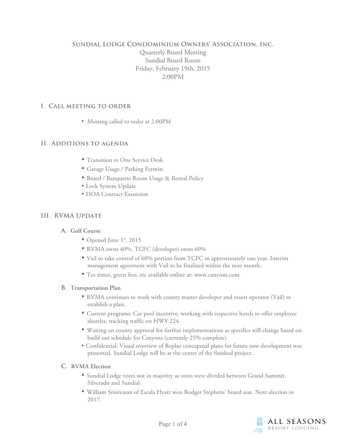# **Sundial Lodge Condominium Owners' Association, Inc.** Quarterly Board Meeting Sundial Board Room Friday, February 19th, 2015 2:00PM

## **I. Call meeting to order**

• Meeting called to order at 2:00PM

## **II. Additions to agenda**

- Transition to One Service Desk
- Garage Usage / Parking Permits
- Board / Banquette Room Usage & Rental Policy
- Lock System Update
- HOA Contract Extension

# **III. RVMA Update**

## **A. Golf Course**

- Opened June 1st, 2015
- RVMA owns 40%, TCFC (developer) owns 60%
- Vail to take control of 60% portion from TCFC in approximately one year. Interim management agreement with Vail to be finalized within the next month.
- Tee times, green fees, etc available online at: www.canyons.com

## **B. Transportation Plan**

- RVMA continues to work with county master developer and resort operator (Vail) to establish a plan.
- Current programs: Car pool incentive, working with respective hotels to offer employee shuttles, tracking traffic on HWY 224.
- Waiting on county approval for further implementations as specifics will change based on build out schedule for Canyons (currently 25% complete).
- Confidential: Visual overview of Replay conceptual plans for future new development was presented. Sundial Lodge will be at the center of the finished project.

## **C. RVMA Election**

- Sundial Lodge votes not in majority as votes were divided between Grand Summit, Silverado and Sundial.
- William Srinivasan of Escala Hyatt won Rodger Stephens' board seat. Next election in 2017.

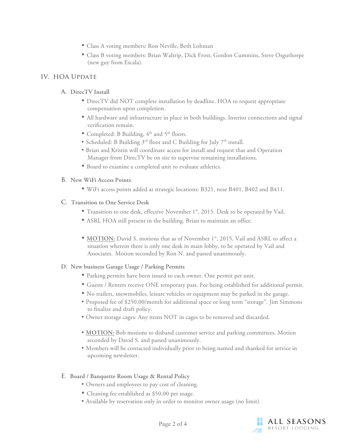- Class A voting members: Ron Neville, Beth Lohman
- Class B voting members: Brian Waltrip, Dick Frost, Gordon Cummins, Steve Osguthorpe (new guy from Escala).

## **IV. HOA Update**

## **A. DirecTV Install**

- DirecTV did NOT complete installation by deadline. HOA to request appropriate compensation upon completion.
- All hardware and infrastructure in place in both buildings. Interior connections and signal verification remain.
- Completed: B Building,  $4<sup>th</sup>$  and  $5<sup>th</sup>$  floors.
- Scheduled: B Building  $3^{rd}$  floor and C Building for July  $7^{th}$  install.
- Brian and Kristin will coordinate access for install and request that and Operation Manager from DirecTV be on site to supervise remaining installations.
- Board to examine a completed unit to evaluate athletics.
- **B. New WiFi Access Points**
	- WiFi access points added at strategic locations: B321, near B401, B402 and B411.
- **C. Transition to One Service Desk**
	- Transition to one desk, effective November 1<sup>st</sup>, 2015. Desk to be operated by Vail.
	- ASRL HOA still present in the building. Brian to maintain an office.
	- **MOTION:** David S. motions that as of November 1<sup>st</sup>, 2015, Vail and ASRL to affect a situation wherein there is only one desk in main lobby, to be operated by Vail and Associates. Motion seconded by Ron N. and passed unanimously.

#### **D. New business Garage Usage / Parking Permits**

- Parking permits have been issued to each owner. One permit per unit.
- Guests / Renters receive ONE temporary pass. Fee being established for additional permit.
- No trailers, snowmobiles, leisure vehicles or equipment may be parked in the garage.
- Proposed fee of \$250.00/month for additional space or long term "storage". Jim Simmons to finalize and draft policy.
- Owner storage cages: Any items NOT in cages to be removed and discarded.
- **MOTION:** Bob motions to disband customer service and parking committees. Motion seconded by David S. and passed unanimously.
- Members will be contacted individually prior to being named and thanked for service in upcoming newsletter.
- **E. Board / Banquette Room Usage & Rental Policy**
	- Owners and employees to pay cost of cleaning.
	- Cleaning fee established as \$50.00 per usage.
	- Available by reservation only in order to monitor owner usage (no limit).

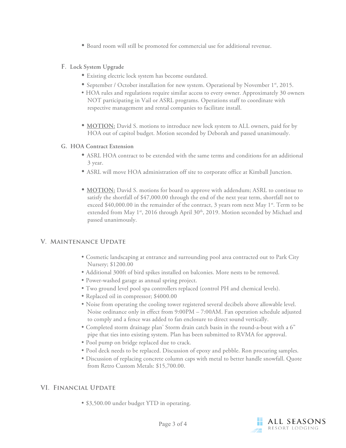- Board room will still be promoted for commercial use for additional revenue.
- **F. Lock System Upgrade**
	- Existing electric lock system has become outdated.
	- September / October installation for new system. Operational by November 1st, 2015.
	- HOA rules and regulations require similar access to every owner. Approximately 30 owners NOT participating in Vail or ASRL programs. Operations staff to coordinate with respective management and rental companies to facilitate install.
	- **MOTION:** David S. motions to introduce new lock system to ALL owners, paid for by HOA out of capitol budget. Motion seconded by Deborah and passed unanimously.

#### **G. HOA Contract Extension**

- ASRL HOA contract to be extended with the same terms and conditions for an additional 3 year.
- ASRL will move HOA administration off site to corporate office at Kimball Junction.
- **MOTION:** David S. motions for board to approve with addendum; ASRL to continue to satisfy the shortfall of \$47,000.00 through the end of the next year term, shortfall not to exceed \$40,000.00 in the remainder of the contract, 3 years rom next May 1st. Term to be extended from May  $1^{st}$ , 2016 through April 30<sup>th</sup>, 2019. Motion seconded by Michael and passed unanimously.

## **V. Maintenance Update**

- Cosmetic landscaping at entrance and surrounding pool area contracted out to Park City Nursery; \$1200.00
- Additional 300ft of bird spikes installed on balconies. More nests to be removed.
- Power-washed garage as annual spring project.
- Two ground level pool spa controllers replaced (control PH and chemical levels).
- Replaced oil in compressor; \$4000.00
- Noise from operating the cooling tower registered several decibels above allowable level. Noise ordinance only in effect from 9:00PM – 7:00AM. Fan operation schedule adjusted to comply and a fence was added to fan enclosure to direct sound vertically.
- Completed storm drainage plan' Storm drain catch basin in the round-a-bout with a 6" pipe that ties into existing system. Plan has been submitted to RVMA for approval.
- Pool pump on bridge replaced due to crack.
- Pool deck needs to be replaced. Discussion of epoxy and pebble. Ron procuring samples.
- Discussion of replacing concrete column caps with metal to better handle snowfall. Quote from Retro Custom Metals: \$15,700.00.

# **VI. Financial Update**

• \$3,500.00 under budget YTD in operating.